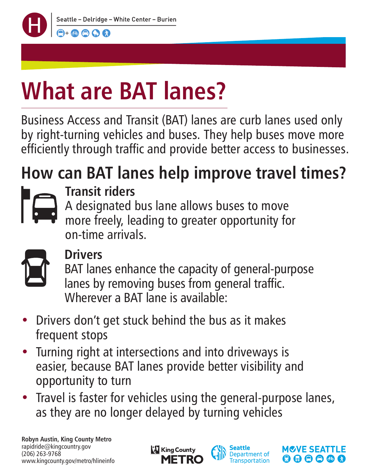

## **What are BAT lanes?**

Business Access and Transit (BAT) lanes are curb lanes used only by right-turning vehicles and buses. They help buses move more efficiently through traffic and provide better access to businesses.

### **How can BAT lanes help improve travel times?**



#### **Transit riders**

A designated bus lane allows buses to move

more freely, leading to greater opportunity for on-time arrivals.



#### **Drivers**

BAT lanes enhance the capacity of general-purpose lanes by removing buses from general traffic. Wherever a BAT lane is available:

- Drivers don't get stuck behind the bus as it makes frequent stops
- Turning right at intersections and into driveways is easier, because BAT lanes provide better visibility and opportunity to turn
- Travel is faster for vehicles using the general-purpose lanes, as they are no longer delayed by turning vehicles